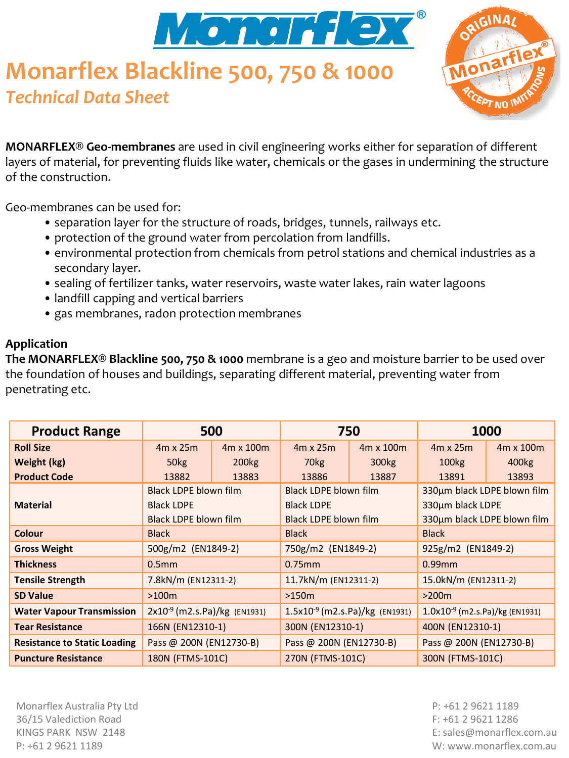

# **Monarflex Blackline 500, 750 & 1000** *Technical Data Sheet*



**MONARFLEX® Geo-membranes** are used in civil engineering works either for separation of different layers of material, for preventing fluids like water, chemicals or the gases in undermining the structure of the construction.

Geo-membranes can be used for:

- separation layer for the structure of roads, bridges, tunnels, railways etc.
- protection of the ground water from percolation from landfills.
- environmental protection from chemicals from petrol stations and chemical industries as a secondary layer.
- sealing of fertilizer tanks, water reservoirs, waste water lakes, rain water lagoons
- landfill capping and vertical barriers
- gas membranes, radon protection membranes

#### **Application**

**The MONARFLEX® Blackline 500, 750 & 1000** membrane is a geo and moisture barrier to be used over the foundation of houses and buildings, separating different material, preventing water from penetrating etc.

| <b>Product Range</b>                | 500                               |                   | 750                                 |                   | 1000                                |           |
|-------------------------------------|-----------------------------------|-------------------|-------------------------------------|-------------------|-------------------------------------|-----------|
| <b>Roll Size</b>                    | 4m x 25m                          | 4m x 100m         | $4m \times 25m$                     | 4m x 100m         | $4m \times 25m$                     | 4m x 100m |
| Weight (kg)                         | 50 <sub>kg</sub>                  | 200 <sub>kg</sub> | 70 <sub>kg</sub>                    | 300 <sub>kg</sub> | 100 <sub>kg</sub>                   | 400kg     |
| <b>Product Code</b>                 | 13882                             | 13883             | 13886                               | 13887             | 13891                               | 13893     |
|                                     | Black LDPE blown film             |                   | <b>Black LDPE blown film</b>        |                   | 330um black LDPE blown film         |           |
| <b>Material</b>                     | <b>Black LDPE</b>                 |                   | <b>Black LDPE</b>                   |                   | 330um black LDPE                    |           |
|                                     | Black LDPE blown film             |                   | <b>Black LDPE blown film</b>        |                   | 330um black LDPE blown film         |           |
| Colour                              | <b>Black</b>                      |                   | <b>Black</b>                        |                   | <b>Black</b>                        |           |
| <b>Gross Weight</b>                 | 500g/m2 (EN1849-2)                |                   | 750g/m2 (EN1849-2)                  |                   | 925g/m2 (EN1849-2)                  |           |
| <b>Thickness</b>                    | 0.5 <sub>mm</sub>                 |                   | $0.75$ mm                           |                   | $0.99$ mm                           |           |
| <b>Tensile Strength</b>             | 7.8kN/m (EN12311-2)               |                   | 11.7kN/m (EN12311-2)                |                   | 15.0kN/m (EN12311-2)                |           |
| <b>SD Value</b>                     | >100m                             |                   | >150m                               |                   | >200m                               |           |
| <b>Water Vapour Transmission</b>    | $2x10^{-9}$ (m2.s.Pa)/kg (EN1931) |                   | $1.5x10^{-9}$ (m2.s.Pa)/kg (EN1931) |                   | $1.0x10^{-9}$ (m2.s.Pa)/kg (EN1931) |           |
| <b>Tear Resistance</b>              | 166N (EN12310-1)                  |                   | 300N (EN12310-1)                    |                   | 400N (EN12310-1)                    |           |
| <b>Resistance to Static Loading</b> | Pass @ 200N (EN12730-B)           |                   | Pass @ 200N (EN12730-B)             |                   | Pass @ 200N (EN12730-B)             |           |
| <b>Puncture Resistance</b>          | 180N (FTMS-101C)                  |                   | 270N (FTMS-101C)                    |                   | 300N (FTMS-101C)                    |           |

Monarflex Australia Pty Ltd 36/15 Valediction Road KINGS PARK NSW 2148 P: +61 2 9621 1189

P: +61 2 9621 1189 F: +61 2 9621 1286 E: sales@monarflex.com.au W: www.monarflex.com.au